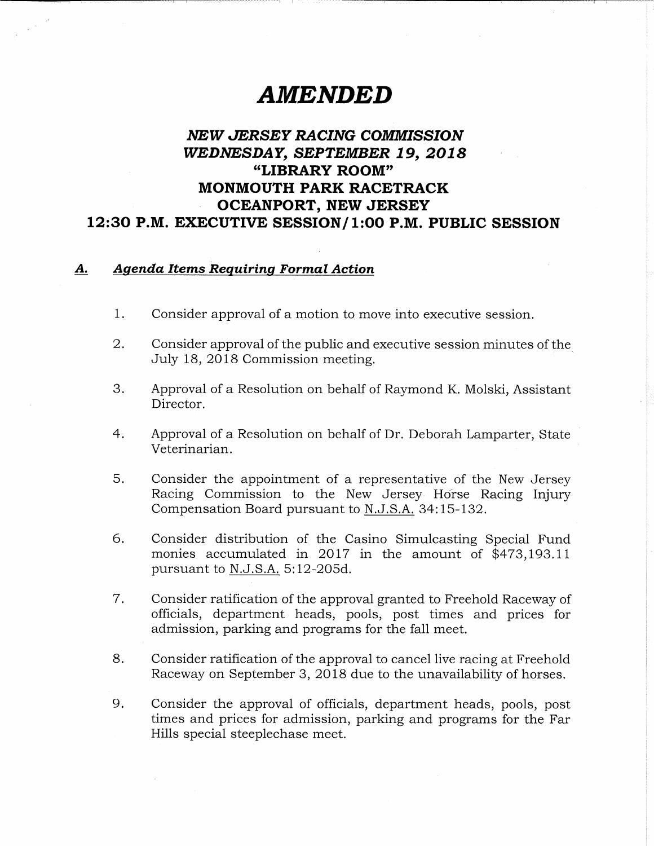## AMENDED

## NEW JERSEY RACING COMMISSION WEDNESDAY, SEPTEMBER 19, 2018 "LIBRARY ROOM" MONMOUTH PARK RACETRACK OCEANPORT, NEW JERSEY 12:30 P.M. EXECUTIVE SESSION/ 1:00 P.M. PUBLIC SESSION

## A. Agenda Items Requiring Formal Action

- 1. Consider approval of a motion to move into executive session.
- 2. Consider approval of the public and executive session minutes of the July 18, 2018 Commission meeting.
- 3. Approval of a Resolution on behalf of Raymond K. Molski, Assistant Director.
- 4, Approval of a Resolution on behalf of Dr, Deborah Lamparter, State Veterinarian.
- 5. Consider the appointment of a representative of the New Jersey Racing Commission to the New Jersey Horse Racing Injury Compensation Board pursuant to N.J. S.A. 34:15-132.
- 6. Consider distribution of the Casino Simulcasting Special Fund monies accumulated in 2017 in the amount of  $$473,193,11$ pursuant to N.J.S.A. 5:12-205d.
- 7. Consider ratification of the approval granted to Freehold Raceway of officials, department heads, pools, post times and prices for admission, parking and programs for the fall meet.
- 8. Consider ratification of the approval to cancel live racing at Freehold Raceway on September 3, 2018 due to the unavailability of horses.
- 9. Consider the approval of officials, department heads, pools, post times and prices for admission, parking and programs for the Far Hills special steeplechase meet.